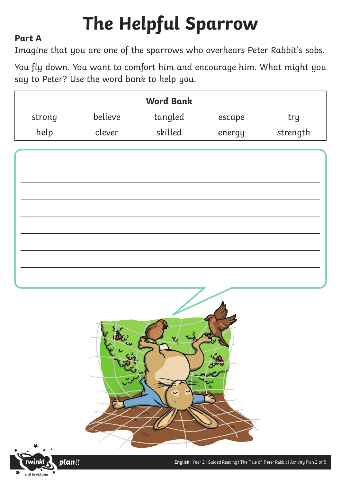# **The Helpful Sparrow**

### **Part A**

Imagine that you are one of the sparrows who overhears Peter Rabbit's sobs.

You fly down. You want to comfort him and encourage him. What might you say to Peter? Use the word bank to help you.

|        |         | <b>Word Bank</b> |        |          |
|--------|---------|------------------|--------|----------|
| strong | believe | tangled          | escape | try      |
| help   | clever  | skilled          | energy | strength |



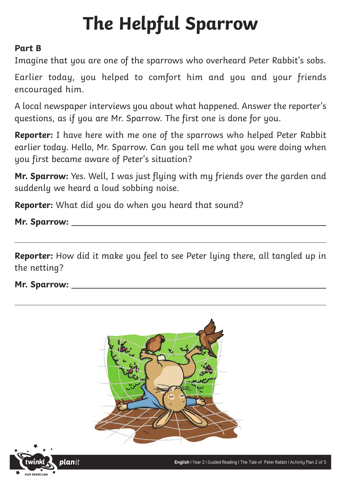## **The Helpful Sparrow**

### **Part B**

Imagine that you are one of the sparrows who overheard Peter Rabbit's sobs.

Earlier today, you helped to comfort him and you and your friends encouraged him.

A local newspaper interviews you about what happened. Answer the reporter's questions, as if you are Mr. Sparrow. The first one is done for you.

**Reporter:** I have here with me one of the sparrows who helped Peter Rabbit earlier today. Hello, Mr. Sparrow. Can you tell me what you were doing when you first became aware of Peter's situation?

**Mr. Sparrow:** Yes. Well, I was just flying with my friends over the garden and suddenly we heard a loud sobbing noise.

**Reporter:** What did you do when you heard that sound?

**Mr. Sparrow:**

**Reporter:** How did it make you feel to see Peter lying there, all tangled up in the netting?

**Mr. Sparrow:**



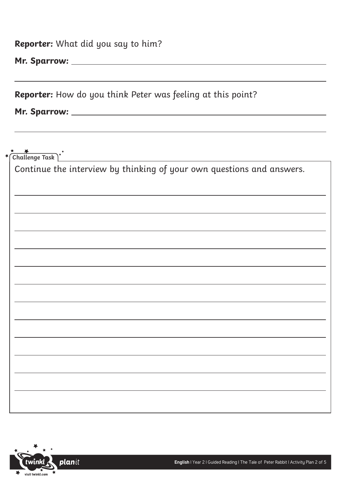**Reporter:** What did you say to him?

**Mr. Sparrow:**

**Reporter:** How do you think Peter was feeling at this point?

**Mr. Sparrow:** 

 $\frac{1}{\sqrt{2}}$ 

| Challenge Task                                                        |
|-----------------------------------------------------------------------|
| Continue the interview by thinking of your own questions and answers. |
|                                                                       |
|                                                                       |
|                                                                       |
|                                                                       |
|                                                                       |
|                                                                       |
|                                                                       |
|                                                                       |
|                                                                       |
|                                                                       |
|                                                                       |
|                                                                       |
|                                                                       |
|                                                                       |
|                                                                       |
|                                                                       |
|                                                                       |